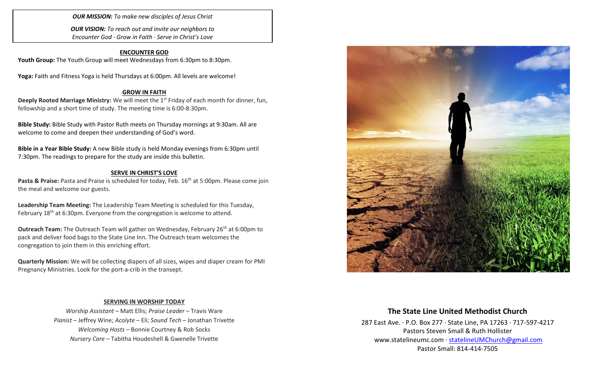*OUR MISSION: To make new disciples of Jesus Christ*

*OUR VISION: To reach out and invite our neighbors to Encounter God · Grow in Faith · Serve in Christ's Love*

#### **ENCOUNTER GOD**

Youth Group: The Youth Group will meet Wednesdays from 6:30pm to 8:30pm.

**Yoga:** Faith and Fitness Yoga is held Thursdays at 6:00pm. All levels are welcome!

#### **GROW IN FAITH**

**Deeply Rooted Marriage Ministry:** We will meet the 1<sup>st</sup> Friday of each month for dinner, fun, fellowship and a short time of study. The meeting time is 6:00-8:30pm.

**Bible Study:** Bible Study with Pastor Ruth meets on Thursday mornings at 9:30am. All are welcome to come and deepen their understanding of God's word.

**Bible in a Year Bible Study:** A new Bible study is held Monday evenings from 6:30pm until 7:30pm. The readings to prepare for the study are inside this bulletin.

#### **SERVE IN CHRIST'S LOVE**

**Pasta & Praise:** Pasta and Praise is scheduled for today, Feb. 16th at 5:00pm. Please come join the meal and welcome our guests.

**Leadership Team Meeting:** The Leadership Team Meeting is scheduled for this Tuesday, February 18<sup>th</sup> at 6:30pm. Everyone from the congregation is welcome to attend.

**Outreach Team:** The Outreach Team will gather on Wednesday, February 26<sup>th</sup> at 6:00pm to pack and deliver food bags to the State Line Inn. The Outreach team welcomes the congregation to join them in this enriching effort.

**Quarterly Mission:** We will be collecting diapers of all sizes, wipes and diaper cream for PMI Pregnancy Ministries. Look for the port-a-crib in the transept.

#### **SERVING IN WORSHIP TODAY**

*Worship Assistant* – Matt Ellis; *Praise Leader* – Travis Ware *Pianist* – Jeffrey Wine; *Acolyte* – Eli; *Sound Tech* – Jonathan Trivette *Welcoming Hosts* – Bonnie Courtney & Rob Socks *Nursery Care* – Tabitha Houdeshell & Gwenelle Trivette



#### **The State Line United Methodist Church**

287 East Ave. · P.O. Box 277 · State Line, PA 17263 · 717-597-4217 Pastors Steven Small & Ruth Hollister [www.statelineumc.com](http://www.statelineumc.com/) · [statelineUMChurch@gmail.com](mailto:statelineUMChurch@gmail.com) Pastor Small: 814-414-7505